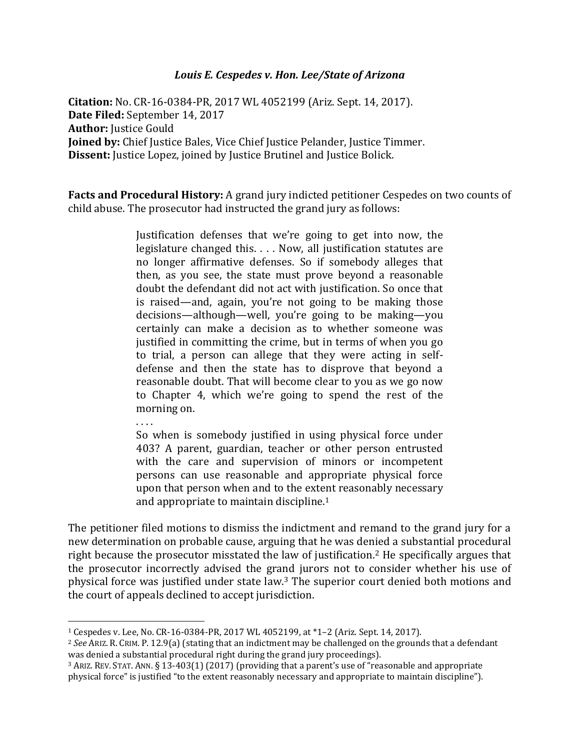## *Louis E. Cespedes v. Hon. Lee/State of Arizona*

**Citation:** No. CR-16-0384-PR, 2017 WL 4052199 (Ariz. Sept. 14, 2017). **Date Filed:** September 14, 2017 **Author:** Justice Gould **Joined by:** Chief Justice Bales, Vice Chief Justice Pelander, Justice Timmer. **Dissent:** Justice Lopez, joined by Justice Brutinel and Justice Bolick.

**Facts and Procedural History:** A grand jury indicted petitioner Cespedes on two counts of child abuse. The prosecutor had instructed the grand jury as follows:

> Justification defenses that we're going to get into now, the legislature changed this. . . . Now, all justification statutes are no longer affirmative defenses. So if somebody alleges that then, as you see, the state must prove beyond a reasonable doubt the defendant did not act with justification. So once that is raised—and, again, you're not going to be making those decisions—although—well, you're going to be making—you certainly can make a decision as to whether someone was justified in committing the crime, but in terms of when you go to trial, a person can allege that they were acting in selfdefense and then the state has to disprove that beyond a reasonable doubt. That will become clear to you as we go now to Chapter 4, which we're going to spend the rest of the morning on.

. . . .

l

So when is somebody justified in using physical force under 403? A parent, guardian, teacher or other person entrusted with the care and supervision of minors or incompetent persons can use reasonable and appropriate physical force upon that person when and to the extent reasonably necessary and appropriate to maintain discipline.<sup>1</sup>

The petitioner filed motions to dismiss the indictment and remand to the grand jury for a new determination on probable cause, arguing that he was denied a substantial procedural right because the prosecutor misstated the law of justification.<sup>2</sup> He specifically argues that the prosecutor incorrectly advised the grand jurors not to consider whether his use of physical force was justified under state law.<sup>3</sup> The superior court denied both motions and the court of appeals declined to accept jurisdiction.

<sup>1</sup> Cespedes v. Lee, No. CR-16-0384-PR, 2017 WL 4052199, at \*1–2 (Ariz. Sept. 14, 2017).

<sup>2</sup> *See* ARIZ. R. CRIM. P. 12.9(a) (stating that an indictment may be challenged on the grounds that a defendant was denied a substantial procedural right during the grand jury proceedings).

<sup>3</sup> ARIZ. REV. STAT. ANN. § 13-403(1) (2017) (providing that a parent's use of "reasonable and appropriate physical force" is justified "to the extent reasonably necessary and appropriate to maintain discipline").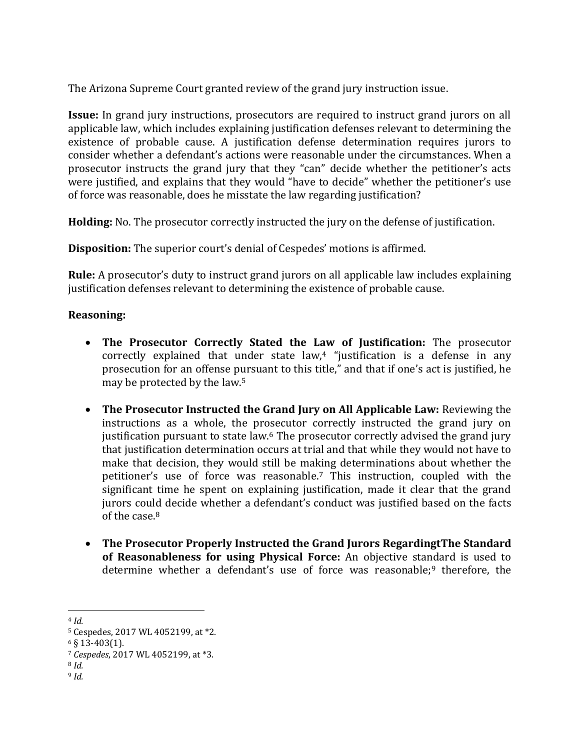The Arizona Supreme Court granted review of the grand jury instruction issue.

**Issue:** In grand jury instructions, prosecutors are required to instruct grand jurors on all applicable law, which includes explaining justification defenses relevant to determining the existence of probable cause. A justification defense determination requires jurors to consider whether a defendant's actions were reasonable under the circumstances. When a prosecutor instructs the grand jury that they "can" decide whether the petitioner's acts were justified, and explains that they would "have to decide" whether the petitioner's use of force was reasonable, does he misstate the law regarding justification?

**Holding:** No. The prosecutor correctly instructed the jury on the defense of justification.

**Disposition:** The superior court's denial of Cespedes' motions is affirmed.

**Rule:** A prosecutor's duty to instruct grand jurors on all applicable law includes explaining justification defenses relevant to determining the existence of probable cause.

## **Reasoning:**

- **The Prosecutor Correctly Stated the Law of Justification:** The prosecutor correctly explained that under state  $law<sub>1</sub><sup>4</sup>$  "justification is a defense in any prosecution for an offense pursuant to this title," and that if one's act is justified, he may be protected by the law.<sup>5</sup>
- **The Prosecutor Instructed the Grand Jury on All Applicable Law:** Reviewing the instructions as a whole, the prosecutor correctly instructed the grand jury on justification pursuant to state law.<sup>6</sup> The prosecutor correctly advised the grand jury that justification determination occurs at trial and that while they would not have to make that decision, they would still be making determinations about whether the petitioner's use of force was reasonable.<sup>7</sup> This instruction, coupled with the significant time he spent on explaining justification, made it clear that the grand jurors could decide whether a defendant's conduct was justified based on the facts of the case.<sup>8</sup>
- **The Prosecutor Properly Instructed the Grand Jurors RegardingtThe Standard of Reasonableness for using Physical Force:** An objective standard is used to determine whether a defendant's use of force was reasonable;<sup>9</sup> therefore, the

<sup>8</sup> *Id.* <sup>9</sup> *Id.*

l <sup>4</sup> *Id.*

<sup>5</sup> Cespedes, 2017 WL 4052199, at \*2.

<sup>6</sup> § 13-403(1).

<sup>7</sup> *Cespedes*, 2017 WL 4052199, at \*3.